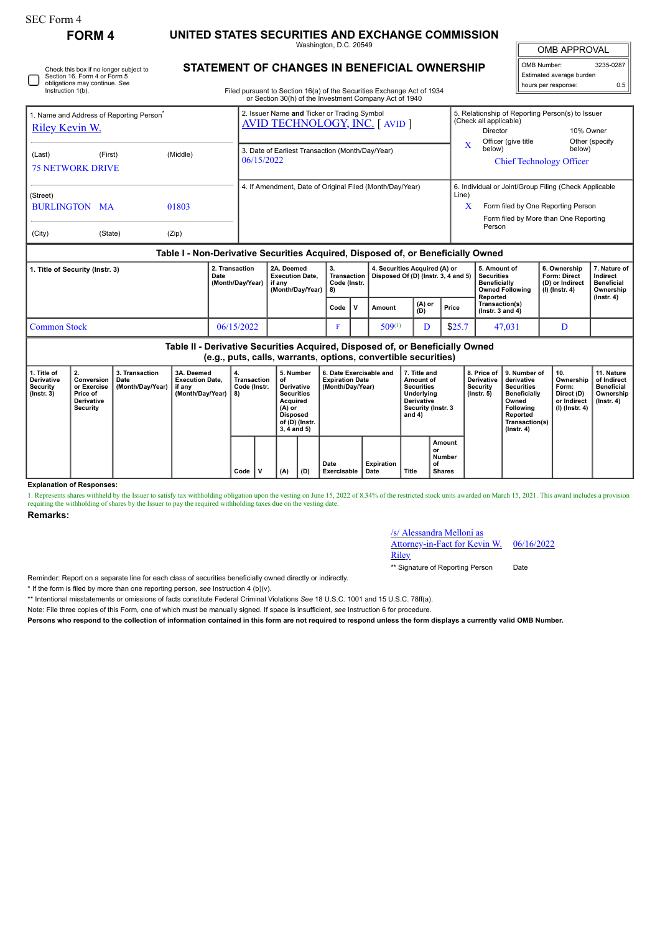## **FORM 4 UNITED STATES SECURITIES AND EXCHANGE COMMISSION**

Washington, D.C. 20549

OMB APPROVAL OMB Number: 3235-0287

Estimated average burden hours per response: 0.5

## **STATEMENT OF CHANGES IN BENEFICIAL OWNERSHIP**

Filed pursuant to Section 16(a) of the Securities Exchange Act of 1934 or Section 30(h) of the Investment Company Act of 1940

| or Section 30(h) of the Investment Company Act of 1940                        |                                                                                                                                                 |         |                |            |                                                                |                                                          |                                                                                      |                                                |        |                                                                      |               |       |                                          |                                                                                                     |                                                                                                                                                |                                                                            |                                                            |  |  |
|-------------------------------------------------------------------------------|-------------------------------------------------------------------------------------------------------------------------------------------------|---------|----------------|------------|----------------------------------------------------------------|----------------------------------------------------------|--------------------------------------------------------------------------------------|------------------------------------------------|--------|----------------------------------------------------------------------|---------------|-------|------------------------------------------|-----------------------------------------------------------------------------------------------------|------------------------------------------------------------------------------------------------------------------------------------------------|----------------------------------------------------------------------------|------------------------------------------------------------|--|--|
| 1. Name and Address of Reporting Person <sup>®</sup><br><b>Riley Kevin W.</b> |                                                                                                                                                 |         |                |            |                                                                |                                                          | 2. Issuer Name and Ticker or Trading Symbol<br><b>AVID TECHNOLOGY, INC. [ AVID ]</b> |                                                |        |                                                                      |               |       |                                          | 5. Relationship of Reporting Person(s) to Issuer<br>(Check all applicable)<br>10% Owner<br>Director |                                                                                                                                                |                                                                            |                                                            |  |  |
| (Last)<br><b>75 NETWORK DRIVE</b>                                             |                                                                                                                                                 | (First) |                | (Middle)   | 3. Date of Earliest Transaction (Month/Day/Year)<br>06/15/2022 |                                                          |                                                                                      |                                                |        |                                                                      |               |       | X<br>below)                              | Officer (give title                                                                                 | below)<br><b>Chief Technology Officer</b>                                                                                                      | Other (specify                                                             |                                                            |  |  |
| (Street)<br><b>BURLINGTON MA</b><br>01803<br>(City)<br>(State)<br>(Zip)       |                                                                                                                                                 |         |                |            |                                                                | 4. If Amendment, Date of Original Filed (Month/Day/Year) |                                                                                      |                                                |        |                                                                      |               |       | Line)                                    | X                                                                                                   | 6. Individual or Joint/Group Filing (Check Applicable<br>Form filed by One Reporting Person<br>Form filed by More than One Reporting<br>Person |                                                                            |                                                            |  |  |
|                                                                               | Table I - Non-Derivative Securities Acquired, Disposed of, or Beneficially Owned                                                                |         |                |            |                                                                |                                                          |                                                                                      |                                                |        |                                                                      |               |       |                                          |                                                                                                     |                                                                                                                                                |                                                                            |                                                            |  |  |
| 1. Title of Security (Instr. 3)<br>2. Transaction<br>Date                     |                                                                                                                                                 |         |                |            |                                                                | (Month/Day/Year)                                         | 2A. Deemed<br><b>Execution Date,</b><br>if any<br>(Month/Day/Year)                   | 3.<br><b>Transaction</b><br>Code (Instr.<br>8) |        | 4. Securities Acquired (A) or<br>Disposed Of (D) (Instr. 3, 4 and 5) |               |       |                                          | 5. Amount of<br><b>Securities</b><br><b>Beneficially</b><br>Reported                                | <b>Owned Following</b>                                                                                                                         | 6. Ownership<br><b>Form: Direct</b><br>(D) or Indirect<br>$(I)$ (lnstr. 4) | 7. Nature of<br>Indirect<br><b>Beneficial</b><br>Ownership |  |  |
|                                                                               |                                                                                                                                                 |         |                |            |                                                                |                                                          | Code                                                                                 | v                                              | Amount |                                                                      | (A) or<br>(D) | Price | Transaction(s)<br>$($ lnstr. 3 and 4 $)$ |                                                                                                     |                                                                                                                                                | $($ Instr. 4 $)$                                                           |                                                            |  |  |
| <b>Common Stock</b>                                                           |                                                                                                                                                 |         |                |            |                                                                | 06/15/2022                                               |                                                                                      | F                                              |        | $509^{(1)}$                                                          |               | D     | \$25.7                                   |                                                                                                     | 47,031                                                                                                                                         | D                                                                          |                                                            |  |  |
|                                                                               | Table II - Derivative Securities Acquired, Disposed of, or Beneficially Owned<br>(e.g., puts, calls, warrants, options, convertible securities) |         |                |            |                                                                |                                                          |                                                                                      |                                                |        |                                                                      |               |       |                                          |                                                                                                     |                                                                                                                                                |                                                                            |                                                            |  |  |
| 1. Title of                                                                   | 2.                                                                                                                                              |         | 3. Transaction | 3A. Deemed | 4.                                                             |                                                          | 5. Number                                                                            | 6. Date Exercisable and                        |        |                                                                      | 7. Title and  |       |                                          | 8. Price of 9. Number of                                                                            | 10.                                                                                                                                            | 11. Nature                                                                 |                                                            |  |  |

| . Title of<br><b>Derivative</b><br>Security<br>$($ lnstr. 3 $)$ | $^{\circ}$ 2.<br>Conversion<br>or Exercise<br>Price of<br><b>Derivative</b><br>Security | 3. Transaction<br>Date<br>(Month/Day/Year) | 3A. Deemed<br><b>Execution Date.</b><br>if any<br>(Month/Day/Year) | 4.<br>Transaction<br>Code (Instr.<br>8) |   | 5. Number<br>οf<br>Derivative<br><b>Securities</b><br>Acquired<br>(A) or<br><b>Disposed</b><br>of (D) (Instr.<br>3, 4 and 5) |     | 6. Date Exercisable and<br><b>Expiration Date</b><br>(Month/Day/Year) |                    | 7. Title and<br><b>Amount of</b><br><b>Securities</b><br>Underlying<br><b>Derivative</b><br>Security (Instr. 3<br>and 4) |                                               | 8. Price of<br><b>Derivative</b><br>Security<br>$($ lnstr. 5 $)$ | 9. Number of<br>derivative<br><b>Securities</b><br><b>Beneficially</b><br>Owned<br>Following<br>Reported<br>Transaction(s)<br>(Instr. 4) | 10.<br>Ownership<br>Form:<br>Direct (D)<br>or Indirect<br>(I) (Instr. 4) | 11. Nature<br>of Indirect<br>Beneficial<br>Ownership<br>(Instr. 4) |
|-----------------------------------------------------------------|-----------------------------------------------------------------------------------------|--------------------------------------------|--------------------------------------------------------------------|-----------------------------------------|---|------------------------------------------------------------------------------------------------------------------------------|-----|-----------------------------------------------------------------------|--------------------|--------------------------------------------------------------------------------------------------------------------------|-----------------------------------------------|------------------------------------------------------------------|------------------------------------------------------------------------------------------------------------------------------------------|--------------------------------------------------------------------------|--------------------------------------------------------------------|
|                                                                 |                                                                                         |                                            |                                                                    | Code                                    | N | ' (A)                                                                                                                        | (D) | Date<br>Exercisable                                                   | Expiration<br>Date | Title                                                                                                                    | Amount<br>or<br>Number<br>οf<br><b>Shares</b> |                                                                  |                                                                                                                                          |                                                                          |                                                                    |

**Explanation of Responses:**

1. Represents shares withheld by the Issuer to satisfy tax withholding obligation upon the vesting on June 15, 2022 of 8.34% of the restricted stock units awarded on March 15, 2021. This award includes a provision requiring the withholding of shares by the Issuer to pay the required withholding taxes due on the vesting date.

**Remarks:**

## /s/ Alessandra Melloni as

Attorney-in-Fact for Kevin W.

Riley

\*\* Signature of Reporting Person Date

06/16/2022

Reminder: Report on a separate line for each class of securities beneficially owned directly or indirectly.

\* If the form is filed by more than one reporting person, *see* Instruction 4 (b)(v).

\*\* Intentional misstatements or omissions of facts constitute Federal Criminal Violations *See* 18 U.S.C. 1001 and 15 U.S.C. 78ff(a).

Note: File three copies of this Form, one of which must be manually signed. If space is insufficient, *see* Instruction 6 for procedure.

**Persons who respond to the collection of information contained in this form are not required to respond unless the form displays a currently valid OMB Number.**